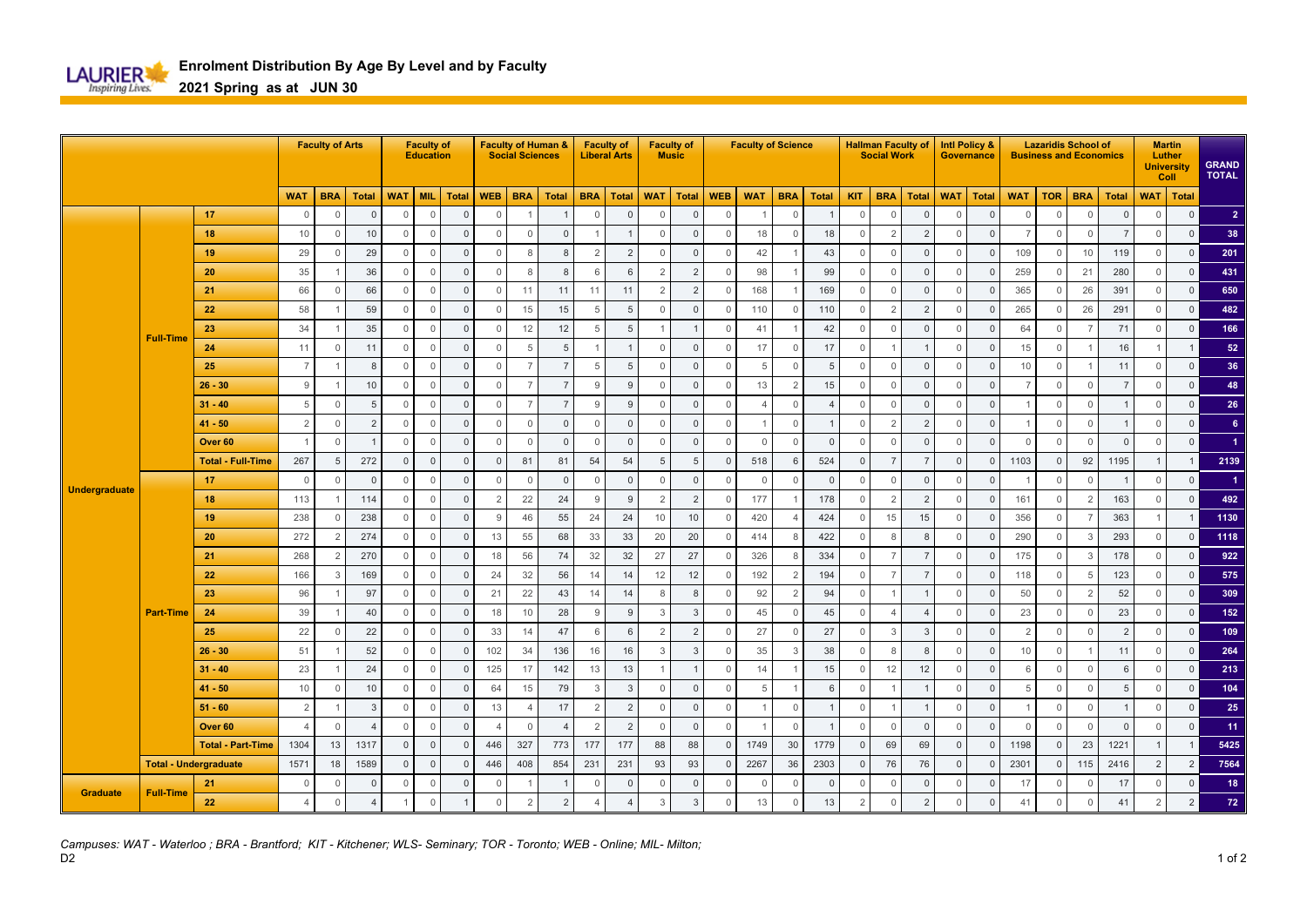

**2021 Spring as at JUN 30**

|                      |                              |                          |                | <b>Faculty of Arts</b> |                | <b>Faculty of</b><br><b>Education</b> |                |                | <b>Faculty of Human &amp;</b><br><b>Social Sciences</b> |                |                 | <b>Faculty of</b><br><b>Liberal Arts</b> |                | <b>Faculty of</b><br><b>Music</b> |                     | <b>Faculty of Science</b> |                 |                     |                |                | <b>Hallman Faculty of</b><br><b>Social Work</b> |                |                | <b>Intl Policy &amp;</b><br><b>Governance</b> | <b>Lazaridis School of</b><br><b>Business and Economics</b> |              |                |                |                    | <b>Martin</b><br>Luther<br><b>University</b><br>Coll | <b>GRAND</b><br><b>TOTAL</b> |
|----------------------|------------------------------|--------------------------|----------------|------------------------|----------------|---------------------------------------|----------------|----------------|---------------------------------------------------------|----------------|-----------------|------------------------------------------|----------------|-----------------------------------|---------------------|---------------------------|-----------------|---------------------|----------------|----------------|-------------------------------------------------|----------------|----------------|-----------------------------------------------|-------------------------------------------------------------|--------------|----------------|----------------|--------------------|------------------------------------------------------|------------------------------|
|                      |                              |                          | <b>WAT</b>     | <b>BRA</b>             | <b>Total</b>   | <b>WAT</b>                            | <b>MIL</b>     | <b>Total</b>   | <b>WEB</b>                                              | <b>BRA</b>     | <b>Total</b>    | <b>BRA</b>                               | Total          | <b>WAT</b>                        | <b>Total</b>        | <b>WEB</b>                | <b>WAT</b>      | <b>BRA</b>          | <b>Total</b>   | <b>KIT</b>     | <b>BRA</b>                                      | <b>Total</b>   | <b>WAT</b>     | <b>Total</b>                                  | <b>WAT</b>                                                  | <b>TOR</b>   | <b>BRA</b>     | <b>Total</b>   | <b>WAT</b>   Total |                                                      |                              |
|                      |                              | 17                       | $\mathbb O$    | $\Omega$               | $\Omega$       | $\mathbf{0}$                          | $\mathbb O$    | $\Omega$       | $\overline{0}$                                          |                |                 | $\mathbf 0$                              | $\mathbf{0}$   | $\Omega$                          | $\Omega$            | $\overline{0}$            | 1               | $\mathbf 0$         |                | $\overline{0}$ | $\mathbf{0}$                                    | $\overline{0}$ | $\Omega$       | $\mathbf{0}$                                  | $\Omega$                                                    | $\mathbf 0$  | $\Omega$       | $\Omega$       | $\Omega$           | $\mathbf 0$                                          | $\overline{2}$               |
|                      |                              | 18                       | 10             | $\mathbf{0}$           | 10             | $\mathbf{0}$                          | $\mathbf 0$    | $\Omega$       | $\mathbf 0$                                             | $\Omega$       | $\mathbf{0}$    |                                          | $\mathbf{1}$   | $\Omega$                          | $\mathbf 0$         | $\mathbf{0}$              | 18              | $\mathbf{0}$        | 18             | $\overline{0}$ | $\overline{2}$                                  | $\overline{2}$ | $\Omega$       | $\Omega$                                      | $\overline{7}$                                              | $\mathbf 0$  | $\Omega$       | $\overline{7}$ | $\mathbf{0}$       | $\mathsf 0$                                          | 38                           |
|                      |                              | 19                       | 29             | $\mathbf{0}$           | 29             | $\mathbf{0}$                          | $\mathbf 0$    | $\overline{0}$ | $\overline{0}$                                          | 8              | 8               | $\mathcal{P}$                            | $\overline{2}$ | $\mathbf{0}$                      | $\mathbf 0$         | $\mathbf 0$               | 42              |                     | 43             | $\overline{0}$ | $\mathbf{0}$                                    | $\overline{0}$ | $\Omega$       | $\mathbf{0}$                                  | 109                                                         | $\mathbf 0$  | 10             | 119            | $\mathbb O$        | $\mathbf 0$                                          | 201                          |
|                      |                              | 20                       | 35             |                        | 36             | $\mathbf{0}$                          | $\mathbf 0$    | $\mathbf{0}$   | $\mathbf 0$                                             | 8              | 8               | 6                                        | 6              | 2                                 | $\overline{2}$      | $\mathbf{0}$              | 98              |                     | 99             | $\overline{0}$ | $\mathbf{0}$                                    | $\overline{0}$ | $\Omega$       | $\mathbf{0}$                                  | 259                                                         | 0            | 21             | 280            | $\mathbf{0}$       | $\mathbf 0$                                          | 431                          |
|                      |                              | 21                       | 66             | $\mathbf{0}$           | 66             | $\mathbf{0}$                          | $\mathbf 0$    | $\mathbf{0}$   | $\mathbf 0$                                             | 11             | 11              | 11                                       | 11             | $\overline{2}$                    | 2                   | $\mathbf 0$               | 168             |                     | 169            | $\overline{0}$ | $\mathbf{0}$                                    | $\overline{0}$ | $\Omega$       | $\Omega$                                      | 365                                                         | $\mathbf 0$  | 26             | 391            | $\mathbb O$        | $\mathbf 0$                                          | 650                          |
|                      |                              | 22                       | 58             | -1                     | 59             | $\mathbf{0}$                          | $\mathbb O$    | $\Omega$       | $\mathbf 0$                                             | 15             | 15              | 5                                        | 5              | $\mathbf 0$                       | $\mathbf{0}$        | $\mathbf 0$               | 110             | $\mathbb O$         | 110            | $\overline{0}$ | $\overline{2}$                                  | $\overline{2}$ | $\Omega$       | $\Omega$                                      | 265                                                         | $\mathbb O$  | 26             | 291            | $\mathbf{0}$       | $\mathbb O$                                          | 482                          |
|                      | <b>Full-Time</b>             | 23                       | 34             |                        | 35             | $\mathbf{0}$                          | $\mathbf 0$    | $\Omega$       | $\mathbf 0$                                             | 12             | 12              | 5                                        | 5              |                                   | $\overline{1}$      | $\mathbf 0$               | 41              |                     | 42             | $\Omega$       | $\Omega$                                        | $\overline{0}$ | $\Omega$       | $\Omega$                                      | 64                                                          | $\mathbb O$  | $\overline{7}$ | 71             | $\mathbb O$        | $\mathsf 0$                                          | 166                          |
|                      |                              | 24                       | 11             | $\mathbf 0$            | 11             | $\mathbf{0}$                          | $\mathbf 0$    | $\Omega$       | $\mathbf 0$                                             | 5              | $5\phantom{.0}$ |                                          | $\mathbf{1}$   | $\mathbf 0$                       | $\mathbf{0}$        | $\mathbf 0$               | 17              | $\mathbb O$         | 17             | $\overline{0}$ |                                                 | -1             | $\Omega$       | $\mathbf{0}$                                  | 15                                                          | $\mathbb O$  | $\overline{1}$ | 16             | $\mathbf{1}$       | $\overline{1}$                                       | 52                           |
|                      |                              | 25                       | $\overline{7}$ |                        | 8              | $\mathbf{0}$                          | $\mathbb O$    | $\mathbf 0$    | $\mathbf 0$                                             | $\overline{7}$ | $\overline{7}$  | 5                                        | 5              | $\mathbf 0$                       | $\mathsf{O}\xspace$ | $\mathbf 0$               | $5\phantom{.0}$ | $\mathbf 0$         | 5              | $\overline{0}$ | $\mathbb O$                                     | $\overline{0}$ | $\Omega$       | $\mathbf{0}$                                  | 10                                                          | $\mathbf 0$  |                | 11             | $\mathbf{0}$       | $\overline{0}$                                       | 36                           |
|                      |                              | $26 - 30$                | $\,9$          |                        | $10$           | $\mathbf{0}$                          | $\mathbb O$    | $\mathbb O$    | $\mathbf 0$                                             | $\overline{7}$ | $\overline{7}$  | 9                                        | 9              | $\mathbf 0$                       | $\mathbf{0}$        | $\mathbf 0$               | 13              | $\overline{2}$      | 15             | $\overline{0}$ | $\mathbf{0}$                                    | $\overline{0}$ | $\Omega$       | $\mathbf{0}$                                  | $\overline{7}$                                              | $\mathbb O$  | $\mathbf{0}$   | $\overline{7}$ | $\mathbf{0}$       | $\mathbf 0$                                          | 48                           |
| <b>Undergraduate</b> |                              | $31 - 40$                | $\sqrt{5}$     | $\mathbf{0}$           | 5              | $\mathbf{0}$                          | $\mathbf 0$    | $\overline{0}$ | $\mathbf 0$                                             | $\overline{7}$ | $\overline{7}$  | 9                                        | 9              | $\mathbf 0$                       | $\mathsf{O}\xspace$ | $\mathbf 0$               | $\overline{4}$  | $\mathbb O$         | $\overline{4}$ | $\overline{0}$ | $\mathbb O$                                     | $\overline{0}$ | $\overline{0}$ | $\mathbf{0}$                                  |                                                             | $\mathbb O$  | $\mathbf 0$    |                | $\mathbf{0}$       | $\mathbf 0$                                          | 26                           |
|                      |                              | $41 - 50$                | $\overline{2}$ | $\Omega$               | $\overline{2}$ | $\mathbf{0}$                          | $\mathbf 0$    | $\overline{0}$ | $\mathbf 0$                                             | $\Omega$       | $\mathbf{0}$    | $\Omega$                                 | $\mathbf{0}$   | $\Omega$                          | $\mathbf 0$         | $\mathbf{0}$              | $\overline{1}$  | $\mathbf{0}$        |                | $\overline{0}$ | $\overline{2}$                                  | $\overline{2}$ | $\Omega$       | $\Omega$                                      |                                                             | $\mathbf 0$  | $\Omega$       |                | $\mathbf{0}$       | $\mathbf 0$                                          | 6                            |
|                      |                              | Over <sub>60</sub>       | $\overline{1}$ | $\mathbf{0}$           | -1             | $\Omega$                              | $\overline{0}$ | $\overline{0}$ | $\overline{0}$                                          | $\Omega$       | $\mathbf 0$     | $\Omega$                                 | $\mathbf{0}$   | $\mathbf{0}$                      | $\mathbf 0$         | $\mathbf{0}$              | $\circ$         | $\mathbf{0}$        | $\overline{0}$ | $\overline{0}$ | $\Omega$                                        | $\overline{0}$ | $\Omega$       | $\Omega$                                      | $\Omega$                                                    | $\mathbf 0$  | $\mathbf{0}$   | $\mathbf 0$    | $\mathbf{0}$       | $\mathbf{0}$                                         | 1                            |
|                      |                              | <b>Total - Full-Time</b> | 267            | 5                      | 272            | $\Omega$                              | $\overline{0}$ | $\Omega$       | $\overline{0}$                                          | 81             | 81              | 54                                       | 54             | 5                                 | 5                   | $\overline{0}$            | 518             | 6                   | 524            | $\overline{0}$ | $\overline{7}$                                  | $\overline{7}$ | $\Omega$       | $\Omega$                                      | 1103                                                        | $\mathbf{0}$ | 92             | 1195           | $\overline{1}$     | $\overline{1}$                                       | 2139                         |
|                      |                              | 17                       | $\mathbf 0$    | $\Omega$               | $\Omega$       | $\Omega$                              | $\overline{0}$ | $\Omega$       | $\overline{0}$                                          | $\Omega$       | $\mathbf{0}$    | $\cap$                                   | $\Omega$       | $\mathbf{0}$                      | $\mathbf{0}$        | $\mathbf{0}$              | $\overline{0}$  | $\mathbf{0}$        | $\overline{0}$ | $\overline{0}$ | $\mathbf{0}$                                    | $\overline{0}$ | $\Omega$       | $\Omega$                                      |                                                             | $\mathbf 0$  | $\mathbf 0$    | -1             | $\mathbf{0}$       | $\mathbf{0}$                                         | $\blacktriangleleft$         |
|                      |                              | 18                       | 113            |                        | 114            | $\mathbf{0}$                          | $\mathbf{0}$   | $\Omega$       | $\overline{2}$                                          | 22             | 24              | 9                                        | 9              | 2                                 | 2                   | $\overline{0}$            | 177             |                     | 178            | $\overline{0}$ | $\overline{2}$                                  | $\overline{2}$ | $\Omega$       | $\Omega$                                      | 161                                                         | $\mathbf 0$  | $\overline{2}$ | 163            | $\mathbf{0}$       | $\mathbf{0}$                                         | 492                          |
|                      |                              | 19                       | 238            | $\Omega$               | 238            | $\Omega$                              | $\overline{0}$ | $\Omega$       | 9                                                       | 46             | 55              | 24                                       | 24             | 10                                | 10                  | $\mathbf{0}$              | 420             | $\Delta$            | 424            | $\Omega$       | 15                                              | 15             | $\Omega$       | $\Omega$                                      | 356                                                         | $\mathbf 0$  | $\overline{7}$ | 363            | $\overline{1}$     | $\overline{1}$                                       | 1130                         |
|                      |                              | 20                       | 272            | $\overline{2}$         | 274            | $\mathbf{0}$                          | $\overline{0}$ | $\overline{0}$ | 13                                                      | 55             | 68              | 33                                       | 33             | 20                                | 20                  | $\mathbf{0}$              | 414             | 8                   | 422            | $\overline{0}$ | 8                                               | 8              | $\mathbf 0$    | $\Omega$                                      | 290                                                         | $\mathbf{0}$ | 3              | 293            | $\mathbf{0}$       | $\mathbf{0}$                                         | 1118                         |
|                      |                              | 21                       | 268            | $\overline{2}$         | 270            | $\overline{0}$                        | $\mathbf 0$    | $\Omega$       | 18                                                      | 56             | 74              | 32                                       | 32             | 27                                | 27                  | $\mathbf{0}$              | 326             | 8                   | 334            | $\overline{0}$ | $\overline{7}$                                  | $\overline{7}$ | $\Omega$       | $\Omega$                                      | 175                                                         | $\mathbf 0$  | 3              | 178            | $\mathbf{0}$       | $\mathbf{0}$                                         | 922                          |
|                      |                              | 22                       | 166            | 3                      | 169            | $\mathbf{0}$                          | $\overline{0}$ | $\overline{0}$ | 24                                                      | 32             | 56              | 14                                       | 14             | 12                                | 12                  | $\mathbf{0}$              | 192             | 2                   | 194            | $\overline{0}$ | $\overline{7}$                                  | $\overline{7}$ | $\overline{0}$ | $\mathbf{0}$                                  | 118                                                         | $\mathbf{0}$ | 5              | 123            | $\mathbf{0}$       | $\mathbf{0}$                                         | 575                          |
|                      |                              | 23                       | 96             |                        | 97             | $\mathbf{0}$                          | $\overline{0}$ | $\Omega$       | 21                                                      | 22             | 43              | 14                                       | 14             | 8                                 | 8                   | $\mathbf{0}$              | 92              | $\overline{2}$      | 94             | $\overline{0}$ |                                                 |                | $\Omega$       | $\mathbf{0}$                                  | 50                                                          | $\mathbf 0$  | $\overline{2}$ | 52             | $\mathbf{0}$       | $\mathbf{0}$                                         | 309                          |
|                      | <b>Part-Time</b>             | 24                       | 39             | -1                     | 40             | $\overline{0}$                        | $\mathbf 0$    | $\overline{0}$ | 18                                                      | 10             | 28              | 9                                        | 9              | 3                                 | $\mathbf{3}$        | $\mathbf{0}$              | 45              | $\mathbf 0$         | 45             | $\overline{0}$ | $\overline{4}$                                  | $\overline{4}$ | $\Omega$       | $\mathbf{0}$                                  | 23                                                          | $\circ$      | 0              | 23             | $\mathbf{0}$       | $\overline{0}$                                       | 152                          |
|                      |                              | 25                       | 22             | $\mathbf{0}$           | 22             | $\circ$                               | $\overline{0}$ | $\overline{0}$ | 33                                                      | 14             | 47              | 6                                        | 6              | 2                                 | $\overline{2}$      | $\mathbf{0}$              | 27              | $\mathbf 0$         | 27             | $\overline{0}$ | 3                                               | $\overline{3}$ | $\Omega$       | $\mathbf{0}$                                  | 2                                                           | $\mathbf 0$  | $\mathbf 0$    | 2              | $\mathbf{0}$       | $\overline{0}$                                       | 109                          |
|                      |                              | $26 - 30$                | 51             |                        | 52             | $\Omega$                              | $\mathbf 0$    | $\Omega$       | 102                                                     | 34             | 136             | 16                                       | 16             | 3                                 | $\mathbf{3}$        | $\mathbf{0}$              | 35              | 3                   | 38             | $\overline{0}$ | 8                                               | 8              | $\Omega$       | $\Omega$                                      | 10                                                          | $\mathbf 0$  |                | 11             | $\mathbf{0}$       | $\mathbf{0}$                                         | 264                          |
|                      |                              | $31 - 40$                | 23             |                        | 24             | $\Omega$                              | $\mathbb O$    | $\Omega$       | 125                                                     | 17             | 142             | 13                                       | 13             |                                   | $\overline{1}$      | $\mathbf 0$               | 14              | $\overline{1}$      | 15             | $\overline{0}$ | 12                                              | 12             | $\Omega$       | $\Omega$                                      | 6                                                           | $\mathbf 0$  | $\mathbf 0$    | 6              | $\mathbf{0}$       | $\mathbf{0}$                                         | 213                          |
|                      |                              | $41 - 50$                | 10             | $\Omega$               | 10             | $\Omega$                              | $\mathbf{0}$   | $\Omega$       | 64                                                      | 15             | 79              | 3                                        | 3              | $\Omega$                          | $\mathbf{0}$        | $\mathbf{0}$              | 5               | $\overline{1}$      | 6              | $\Omega$       |                                                 |                | $\Omega$       | $\Omega$                                      | 5                                                           | $\mathbf 0$  | $\Omega$       | 5              | $\mathbf{0}$       | $\mathbf{0}$                                         | 104                          |
|                      |                              | $51 - 60$                | $\overline{2}$ |                        | 3              | $\Omega$                              | $\mathbf 0$    | $\Omega$       | 13                                                      | $\overline{4}$ | 17              | $\overline{2}$                           | $\overline{2}$ | $\mathbf 0$                       | $\mathbf{0}$        | $\mathbb O$               | $\overline{1}$  | $\mathbb O$         |                | $\overline{0}$ |                                                 |                | $\Omega$       | $\Omega$                                      |                                                             | $\mathbb O$  | $\mathbf 0$    |                | $\mathbf{0}$       | $\mathbf 0$                                          | 25                           |
|                      |                              | Over <sub>60</sub>       | $\overline{4}$ | $\mathbf{0}$           | $\overline{4}$ | $\mathbf{0}$                          | $\mathbf 0$    | $\Omega$       | $\overline{4}$                                          | $\overline{0}$ | $\overline{4}$  | $\overline{2}$                           | $\overline{2}$ | $\mathbf 0$                       | $\mathbf{0}$        | $\overline{0}$            | $\overline{1}$  | $\mathbf{0}$        | $\overline{1}$ | $\overline{0}$ | $\mathbf{0}$                                    | $\overline{0}$ | $\mathbf{0}$   | $\mathbf{0}$                                  | $\mathbf{0}$                                                | $\mathbf{0}$ | $\mathbf 0$    | $\mathbf{0}$   | $\mathbf{0}$       | $\mathsf 0$                                          | 11                           |
|                      |                              | <b>Total - Part-Time</b> | 1304           | 13                     | 1317           | $\mathbf{0}$                          | $\mathbb O$    | $\Omega$       | 446                                                     | 327            | 773             | 177                                      | 177            | 88                                | 88                  | $\overline{0}$            | 1749            | 30                  | 1779           | $\overline{0}$ | 69                                              | 69             | $\Omega$       | $\Omega$                                      | 1198                                                        | $\mathbf{0}$ | 23             | 1221           | $\overline{1}$     | $\overline{1}$                                       | 5425                         |
|                      | <b>Total - Undergraduate</b> |                          | 1571           | 18                     | 1589           | $\mathbf{0}$                          | $\mathbf 0$    | $\mathbb O$    | 446                                                     | 408            | 854             | 231                                      | 231            | 93                                | 93                  | $\overline{0}$            | 2267            | 36                  | 2303           | $\mathbf 0$    | 76                                              | 76             | $\mathbf 0$    | $\mathbf{0}$                                  | 2301                                                        | $\mathbf 0$  | 115            | 2416           | 2                  | $\overline{2}$                                       | 7564                         |
| <b>Graduate</b>      | 21<br><b>Full-Time</b>       |                          | $\mathbf 0$    | $\Omega$               | $\Omega$       | $\Omega$                              | $\mathbf 0$    | $\Omega$       | $\mathbf 0$                                             |                |                 | $\Omega$                                 | $\Omega$       | $\Omega$                          | $\Omega$            | $\mathbf{0}$              | $\mathbf 0$     | $\Omega$            | - 0            | $\Omega$       | $\Omega$                                        | $\overline{0}$ | $\Omega$       | $\Omega$                                      | 17                                                          | $\Omega$     | $\Omega$       | 17             | $\mathbf{0}$       | $\mathbf 0$                                          | 18                           |
|                      |                              | 22                       | $\overline{4}$ | $\mathbb O$            | $\overline{4}$ |                                       | $\mathbb O$    | $\overline{1}$ | $\mathbf 0$                                             | $\overline{2}$ | $\overline{2}$  |                                          | $\overline{4}$ | 3                                 | 3                   | $\mathbf 0$               | 13              | $\mathsf{O}\xspace$ | 13             | $\overline{2}$ | $\Omega$                                        | $\overline{2}$ | $\Omega$       | $\Omega$                                      | 41                                                          | $\mathbf 0$  | $\mathbf 0$    | 41             | $\overline{2}$     | 2 <sup>1</sup>                                       | 72                           |